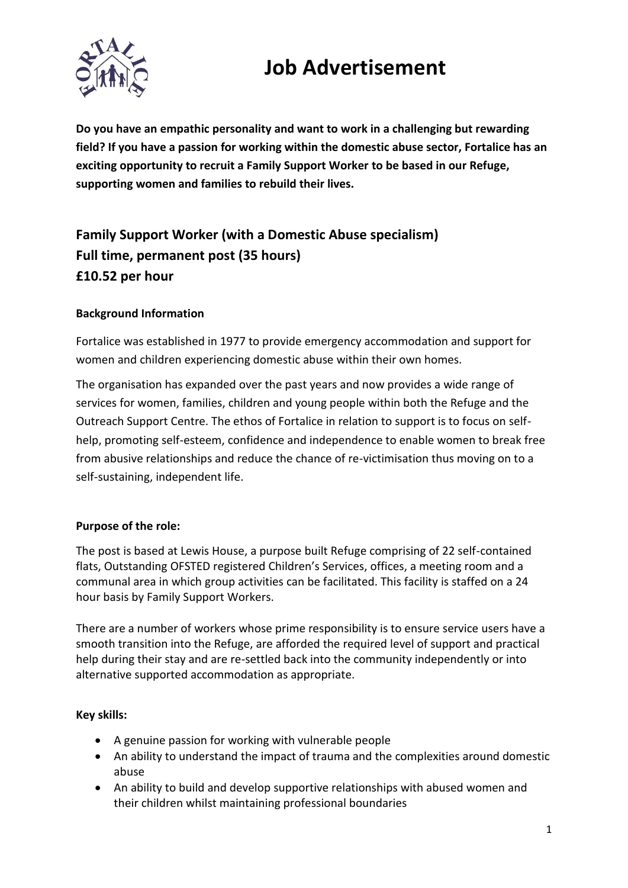## **Job Advertisement**



**Do you have an empathic personality and want to work in a challenging but rewarding field? If you have a passion for working within the domestic abuse sector, Fortalice has an exciting opportunity to recruit a Family Support Worker to be based in our Refuge, supporting women and families to rebuild their lives.** 

### **Family Support Worker (with a Domestic Abuse specialism) Full time, permanent post (35 hours) £10.52 per hour**

#### **Background Information**

Fortalice was established in 1977 to provide emergency accommodation and support for women and children experiencing domestic abuse within their own homes.

The organisation has expanded over the past years and now provides a wide range of services for women, families, children and young people within both the Refuge and the Outreach Support Centre. The ethos of Fortalice in relation to support is to focus on selfhelp, promoting self-esteem, confidence and independence to enable women to break free from abusive relationships and reduce the chance of re-victimisation thus moving on to a self-sustaining, independent life.

#### **Purpose of the role:**

The post is based at Lewis House, a purpose built Refuge comprising of 22 self-contained flats, Outstanding OFSTED registered Children's Services, offices, a meeting room and a communal area in which group activities can be facilitated. This facility is staffed on a 24 hour basis by Family Support Workers.

There are a number of workers whose prime responsibility is to ensure service users have a smooth transition into the Refuge, are afforded the required level of support and practical help during their stay and are re-settled back into the community independently or into alternative supported accommodation as appropriate.

#### **Key skills:**

- A genuine passion for working with vulnerable people
- An ability to understand the impact of trauma and the complexities around domestic abuse
- An ability to build and develop supportive relationships with abused women and their children whilst maintaining professional boundaries